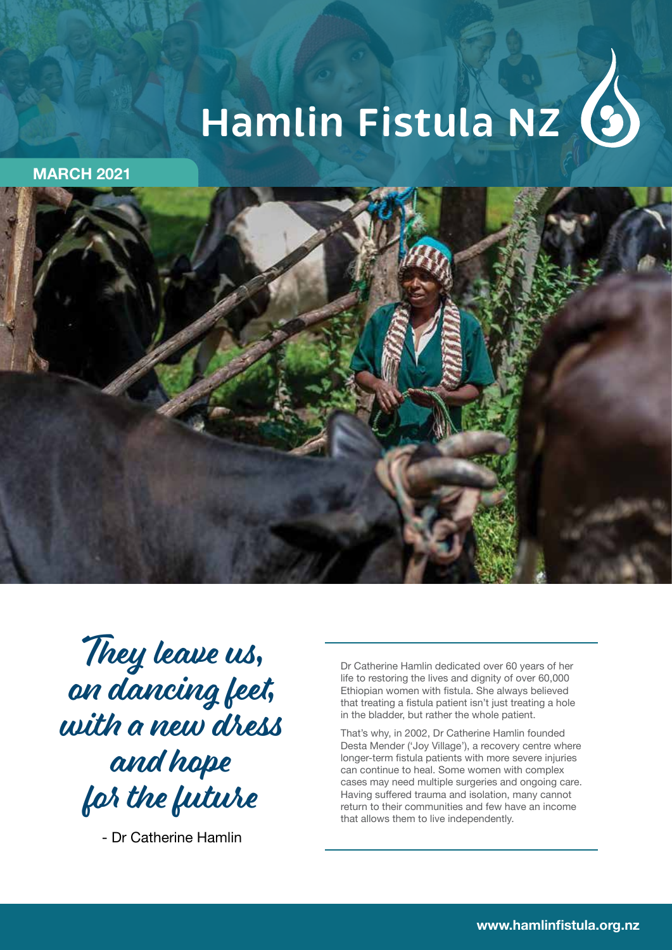# **Hamlin Fistula NZ**

**MARCH 2021**



They leave us, on dancing feet, with a new dress and hope for the future

- Dr Catherine Hamlin

Dr Catherine Hamlin dedicated over 60 years of her life to restoring the lives and dignity of over 60,000 Ethiopian women with fistula. She always believed that treating a fistula patient isn't just treating a hole in the bladder, but rather the whole patient.

That's why, in 2002, Dr Catherine Hamlin founded Desta Mender ('Joy Village'), a recovery centre where longer-term fistula patients with more severe injuries can continue to heal. Some women with complex cases may need multiple surgeries and ongoing care. Having suffered trauma and isolation, many cannot return to their communities and few have an income that allows them to live independently.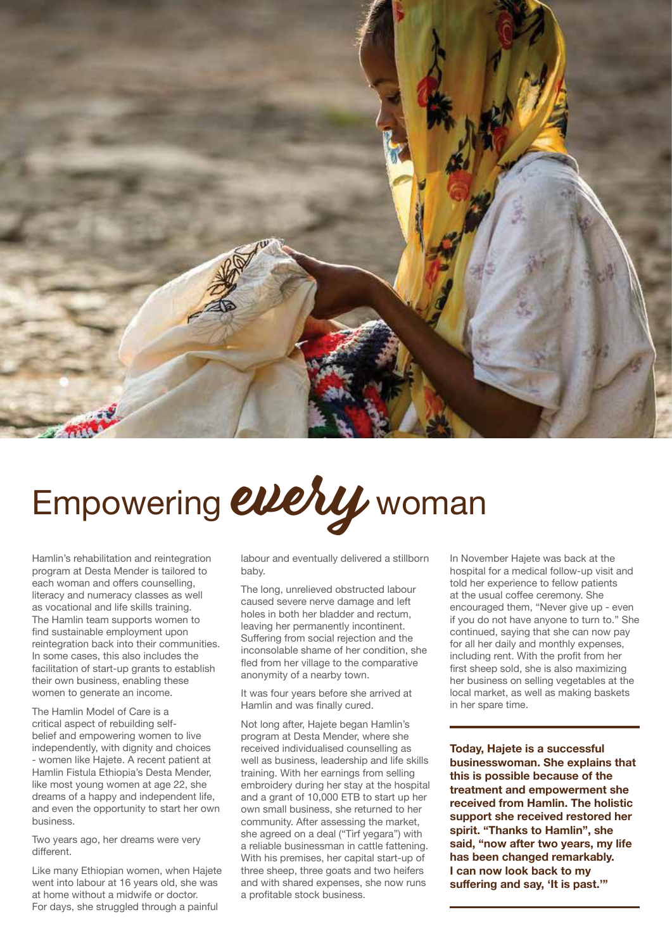

## Empowering every woman

Hamlin's rehabilitation and reintegration program at Desta Mender is tailored to each woman and offers counselling, literacy and numeracy classes as well as vocational and life skills training. The Hamlin team supports women to find sustainable employment upon reintegration back into their communities. In some cases, this also includes the facilitation of start-up grants to establish their own business, enabling these women to generate an income.

The Hamlin Model of Care is a critical aspect of rebuilding selfbelief and empowering women to live independently, with dignity and choices women like Hajete. A recent patient at Hamlin Fistula Ethiopia's Desta Mender, like most young women at age 22, she dreams of a happy and independent life, and even the opportunity to start her own business.

Two years ago, her dreams were very different.

Like many Ethiopian women, when Hajete went into labour at 16 years old, she was at home without a midwife or doctor. For days, she struggled through a painful

labour and eventually delivered a stillborn baby.

The long, unrelieved obstructed labour caused severe nerve damage and left holes in both her bladder and rectum, leaving her permanently incontinent. Suffering from social rejection and the inconsolable shame of her condition, she fled from her village to the comparative anonymity of a nearby town.

It was four years before she arrived at Hamlin and was finally cured.

Not long after, Hajete began Hamlin's program at Desta Mender, where she received individualised counselling as well as business, leadership and life skills training. With her earnings from selling embroidery during her stay at the hospital and a grant of 10,000 ETB to start up her own small business, she returned to her community. After assessing the market, she agreed on a deal ("Tirf yegara") with a reliable businessman in cattle fattening. With his premises, her capital start-up of three sheep, three goats and two heifers and with shared expenses, she now runs a profitable stock business.

In November Hajete was back at the hospital for a medical follow-up visit and told her experience to fellow patients at the usual coffee ceremony. She encouraged them, "Never give up - even if you do not have anyone to turn to." She continued, saying that she can now pay for all her daily and monthly expenses, including rent. With the profit from her first sheep sold, she is also maximizing her business on selling vegetables at the local market, as well as making baskets in her spare time.

**Today, Hajete is a successful businesswoman. She explains that this is possible because of the treatment and empowerment she received from Hamlin. The holistic support she received restored her spirit. "Thanks to Hamlin", she said, "now after two years, my life has been changed remarkably. I can now look back to my suffering and say, 'It is past.'"**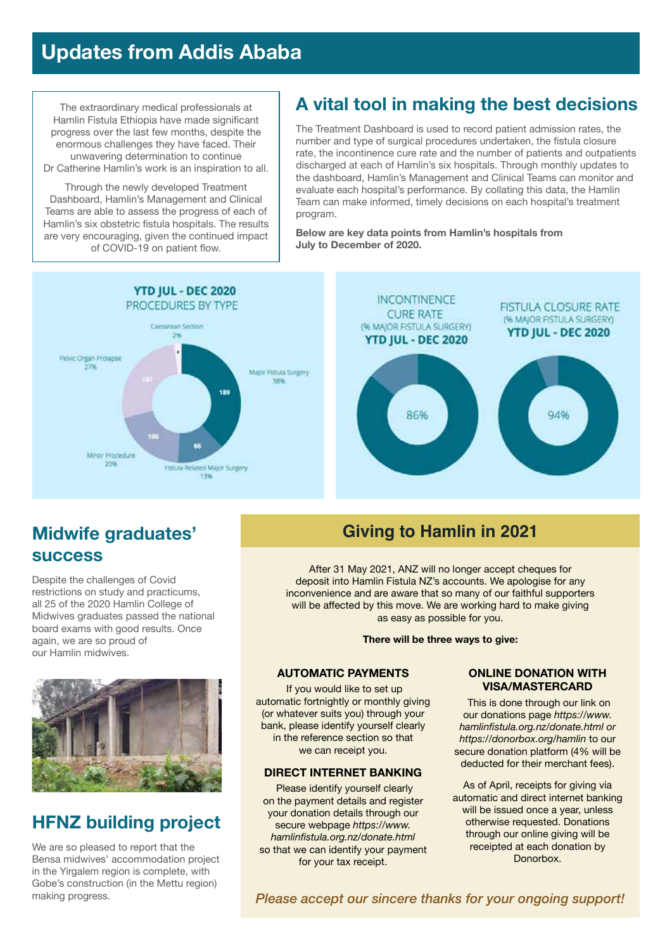## **Updates from Addis Ababa**

The extraordinary medical professionals at Hamlin Fistula Ethiopia have made significant progress over the last few months, despite the enormous challenges they have faced. Their unwavering determination to continue Dr Catherine Hamlin's work is an inspiration to all.

Through the newly developed Treatment Dashboard, Hamlin's Management and Clinical Teams are able to assess the progress of each of Hamlin's six obstetric fistula hospitals. The results are very encouraging, given the continued impact of COVID-19 on patient flow.

## **A vital tool in making the best decisions**

The Treatment Dashboard is used to record patient admission rates, the number and type of surgical procedures undertaken, the fistula closure rate, the incontinence cure rate and the number of patients and outpatients discharged at each of Hamlin's six hospitals. Through monthly updates to the dashboard, Hamlin's Management and Clinical Teams can monitor and evaluate each hospital's performance. By collating this data, the Hamlin Team can make informed, timely decisions on each hospital's treatment program.

**Below are key data points from Hamlin's hospitals from July to December of 2020.**



## **Midwife graduates' success**

Despite the challenges of Covid restrictions on study and practicums, all 25 of the 2020 Hamlin College of Midwives graduates passed the national board exams with good results. Once again, we are so proud of our Hamlin midwives.



## **HFNZ building project**

We are so pleased to report that the Bensa midwives' accommodation project in the Yirgalem region is complete, with Gobe's construction (in the Mettu region) making progress.

### **Giving to Hamlin in 2021**

After 31 May 2021, ANZ will no longer accept cheques for deposit into Hamlin Fistula NZ's accounts. We apologise for any inconvenience and are aware that so many of our faithful supporters will be affected by this move. We are working hard to make giving as easy as possible for you.

**There will be three ways to give:**

#### **AUTOMATIC PAYMENTS**

 If you would like to set up automatic fortnightly or monthly giving (or whatever suits you) through your bank, please identify yourself clearly in the reference section so that we can receipt you.

#### **DIRECT INTERNET BANKING**

 Please identify yourself clearly on the payment details and register your donation details through our secure webpage *https://www. hamlinfistula.org.nz/donate.html*  so that we can identify your payment for your tax receipt.

#### **ONLINE DONATION WITH VISA/MASTERCARD**

 This is done through our link on our donations page *https://www. hamlinfistula.org.nz/donate.html or https://donorbox.org/hamlin* to our secure donation platform (4% will be deducted for their merchant fees).

As of April, receipts for giving via automatic and direct internet banking will be issued once a year, unless otherwise requested. Donations through our online giving will be receipted at each donation by Donorbox.

*Please accept our sincere thanks for your ongoing support!*